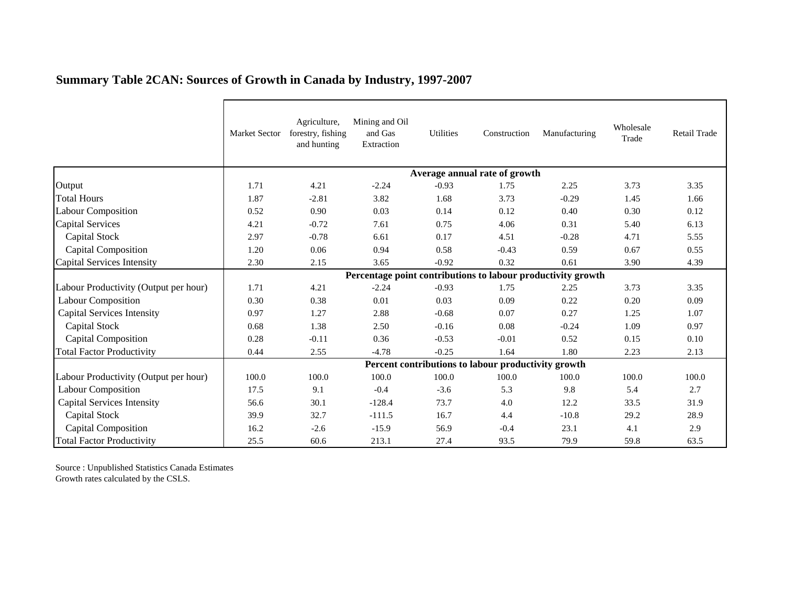|                                       | <b>Market Sector</b>                                         | Agriculture,<br>forestry, fishing<br>and hunting | Mining and Oil<br>and Gas<br>Extraction | Utilities | Construction | Manufacturing | Wholesale<br>Trade | Retail Trade |  |  |  |
|---------------------------------------|--------------------------------------------------------------|--------------------------------------------------|-----------------------------------------|-----------|--------------|---------------|--------------------|--------------|--|--|--|
|                                       | Average annual rate of growth                                |                                                  |                                         |           |              |               |                    |              |  |  |  |
| Output                                | 1.71                                                         | 4.21                                             | $-2.24$                                 | $-0.93$   | 1.75         | 2.25          | 3.73               | 3.35         |  |  |  |
| <b>Total Hours</b>                    | 1.87                                                         | $-2.81$                                          | 3.82                                    | 1.68      | 3.73         | $-0.29$       | 1.45               | 1.66         |  |  |  |
| Labour Composition                    | 0.52                                                         | 0.90                                             | 0.03                                    | 0.14      | 0.12         | 0.40          | 0.30               | 0.12         |  |  |  |
| Capital Services                      | 4.21                                                         | $-0.72$                                          | 7.61                                    | 0.75      | 4.06         | 0.31          | 5.40               | 6.13         |  |  |  |
| <b>Capital Stock</b>                  | 2.97                                                         | $-0.78$                                          | 6.61                                    | 0.17      | 4.51         | $-0.28$       | 4.71               | 5.55         |  |  |  |
| <b>Capital Composition</b>            | 1.20                                                         | 0.06                                             | 0.94                                    | 0.58      | $-0.43$      | 0.59          | 0.67               | 0.55         |  |  |  |
| Capital Services Intensity            | 2.30                                                         | 2.15                                             | 3.65                                    | $-0.92$   | 0.32         | 0.61          | 3.90               | 4.39         |  |  |  |
|                                       | Percentage point contributions to labour productivity growth |                                                  |                                         |           |              |               |                    |              |  |  |  |
| Labour Productivity (Output per hour) | 1.71                                                         | 4.21                                             | $-2.24$                                 | $-0.93$   | 1.75         | 2.25          | 3.73               | 3.35         |  |  |  |
| <b>Labour Composition</b>             | 0.30                                                         | 0.38                                             | 0.01                                    | 0.03      | 0.09         | 0.22          | 0.20               | 0.09         |  |  |  |
| <b>Capital Services Intensity</b>     | 0.97                                                         | 1.27                                             | 2.88                                    | $-0.68$   | 0.07         | 0.27          | 1.25               | 1.07         |  |  |  |
| Capital Stock                         | 0.68                                                         | 1.38                                             | 2.50                                    | $-0.16$   | 0.08         | $-0.24$       | 1.09               | 0.97         |  |  |  |
| <b>Capital Composition</b>            | 0.28                                                         | $-0.11$                                          | 0.36                                    | $-0.53$   | $-0.01$      | 0.52          | 0.15               | 0.10         |  |  |  |
| <b>Total Factor Productivity</b>      | 0.44                                                         | 2.55                                             | $-4.78$                                 | $-0.25$   | 1.64         | 1.80          | 2.23               | 2.13         |  |  |  |
|                                       | Percent contributions to labour productivity growth          |                                                  |                                         |           |              |               |                    |              |  |  |  |
| Labour Productivity (Output per hour) | 100.0                                                        | 100.0                                            | 100.0                                   | 100.0     | 100.0        | 100.0         | 100.0              | 100.0        |  |  |  |
| <b>Labour Composition</b>             | 17.5                                                         | 9.1                                              | $-0.4$                                  | $-3.6$    | 5.3          | 9.8           | 5.4                | 2.7          |  |  |  |
| <b>Capital Services Intensity</b>     | 56.6                                                         | 30.1                                             | $-128.4$                                | 73.7      | 4.0          | 12.2          | 33.5               | 31.9         |  |  |  |
| Capital Stock                         | 39.9                                                         | 32.7                                             | $-111.5$                                | 16.7      | 4.4          | $-10.8$       | 29.2               | 28.9         |  |  |  |
| <b>Capital Composition</b>            | 16.2                                                         | $-2.6$                                           | $-15.9$                                 | 56.9      | $-0.4$       | 23.1          | 4.1                | 2.9          |  |  |  |
| <b>Total Factor Productivity</b>      | 25.5                                                         | 60.6                                             | 213.1                                   | 27.4      | 93.5         | 79.9          | 59.8               | 63.5         |  |  |  |

## **Summary Table 2CAN: Sources of Growth in Canada by Industry, 1997-2007**

Source : Unpublished Statistics Canada Estimates Growth rates calculated by the CSLS.